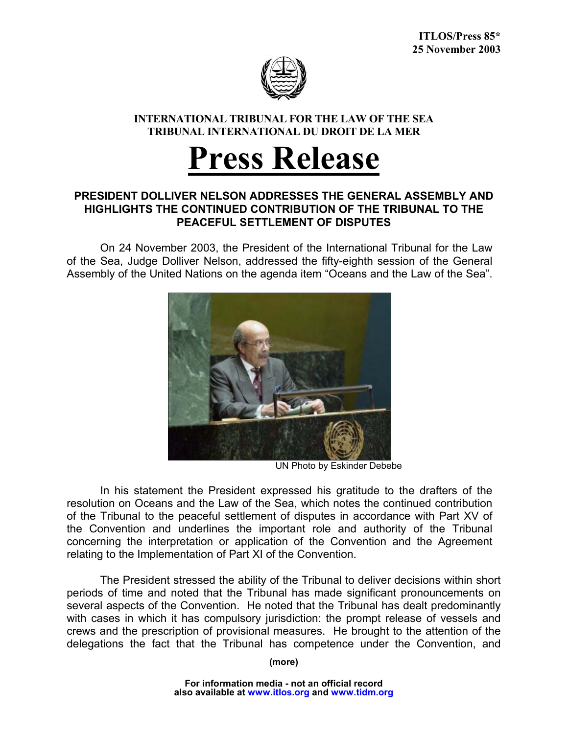

## **INTERNATIONAL TRIBUNAL FOR THE LAW OF THE SEA TRIBUNAL INTERNATIONAL DU DROIT DE LA MER**

## **Press Release**

## **PRESIDENT DOLLIVER NELSON ADDRESSES THE GENERAL ASSEMBLY AND HIGHLIGHTS THE CONTINUED CONTRIBUTION OF THE TRIBUNAL TO THE PEACEFUL SETTLEMENT OF DISPUTES**

On 24 November 2003, the President of the International Tribunal for the Law of the Sea, Judge Dolliver Nelson, addressed the fifty-eighth session of the General Assembly of the United Nations on the agenda item "Oceans and the Law of the Sea".



UN Photo by Eskinder Debebe

In his statement the President expressed his gratitude to the drafters of the resolution on Oceans and the Law of the Sea, which notes the continued contribution of the Tribunal to the peaceful settlement of disputes in accordance with Part XV of the Convention and underlines the important role and authority of the Tribunal concerning the interpretation or application of the Convention and the Agreement relating to the Implementation of Part XI of the Convention.

The President stressed the ability of the Tribunal to deliver decisions within short periods of time and noted that the Tribunal has made significant pronouncements on several aspects of the Convention. He noted that the Tribunal has dealt predominantly with cases in which it has compulsory jurisdiction: the prompt release of vessels and crews and the prescription of provisional measures. He brought to the attention of the delegations the fact that the Tribunal has competence under the Convention, and

**(more)**